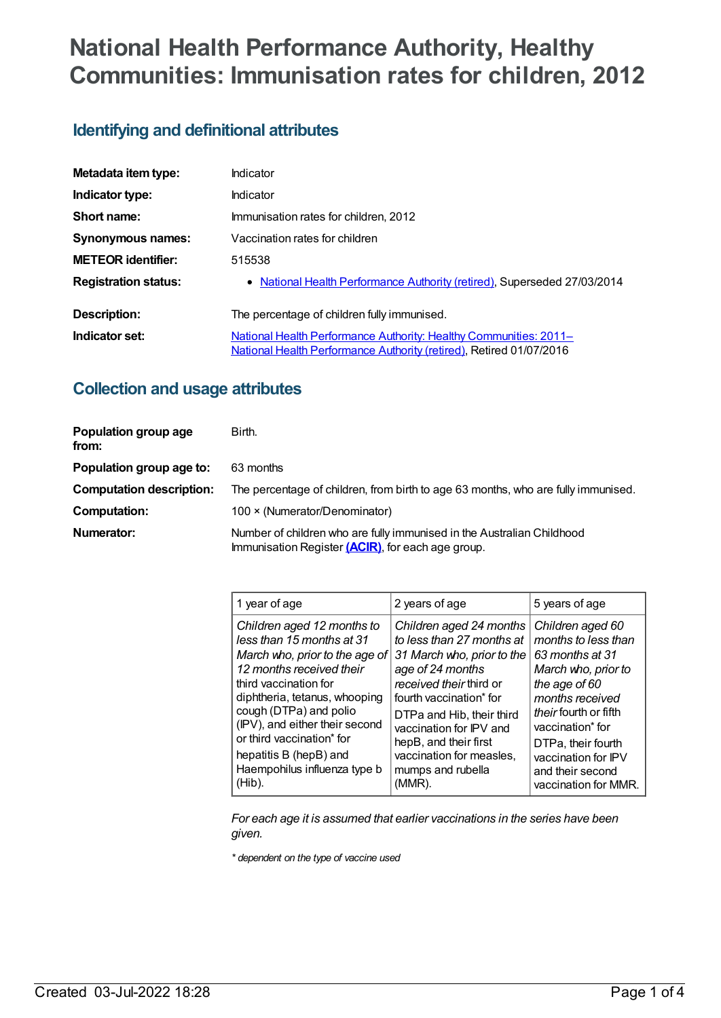# **National Health Performance Authority, Healthy Communities: Immunisation rates for children, 2012**

## **Identifying and definitional attributes**

| Metadata item type:         | Indicator                                                                                                                                       |  |
|-----------------------------|-------------------------------------------------------------------------------------------------------------------------------------------------|--|
| Indicator type:             | Indicator                                                                                                                                       |  |
| Short name:                 | Immunisation rates for children, 2012                                                                                                           |  |
| <b>Synonymous names:</b>    | Vaccination rates for children                                                                                                                  |  |
| <b>METEOR identifier:</b>   | 515538                                                                                                                                          |  |
| <b>Registration status:</b> | • National Health Performance Authority (retired), Superseded 27/03/2014                                                                        |  |
| Description:                | The percentage of children fully immunised.                                                                                                     |  |
| Indicator set:              | National Health Performance Authority: Healthy Communities: 2011-<br><b>National Health Performance Authority (retired), Retired 01/07/2016</b> |  |

### **Collection and usage attributes**

| Population group age<br>from:   | Birth.                                                                                                                      |  |
|---------------------------------|-----------------------------------------------------------------------------------------------------------------------------|--|
| Population group age to:        | 63 months                                                                                                                   |  |
| <b>Computation description:</b> | The percentage of children, from birth to age 63 months, who are fully immunised.                                           |  |
| <b>Computation:</b>             | 100 × (Numerator/Denominator)                                                                                               |  |
| Numerator:                      | Number of children who are fully immunised in the Australian Childhood<br>Immunisation Register (ACIR), for each age group. |  |

| 1 year of age                  | 2 years of age             | 5 years of age        |
|--------------------------------|----------------------------|-----------------------|
| Children aged 12 months to     | Children aged 24 months    | Children aged 60      |
| less than 15 months at 31      | to less than 27 months at  | months to less than   |
| March who, prior to the age of | 31 March who, prior to the | 63 months at 31       |
| 12 months received their       | age of 24 months           | March who, prior to   |
| third vaccination for          | received their third or    | the age of 60         |
| diphtheria, tetanus, whooping  | fourth vaccination* for    | months received       |
| cough (DTPa) and polio         | DTPa and Hib, their third  | their fourth or fifth |
| (IPV), and either their second | vaccination for IPV and    | vaccination* for      |
| or third vaccination* for      | hepB, and their first      | DTPa, their fourth    |
| hepatitis B (hepB) and         | vaccination for measles,   | vaccination for IPV   |
| Haempohilus influenza type b   | mumps and rubella          | and their second      |
| (Hib).                         | (MMR).                     | vaccination for MMR.  |

*For each age it is assumed that earlier vaccinations in the series have been given.*

*\* dependent on the type of vaccine used*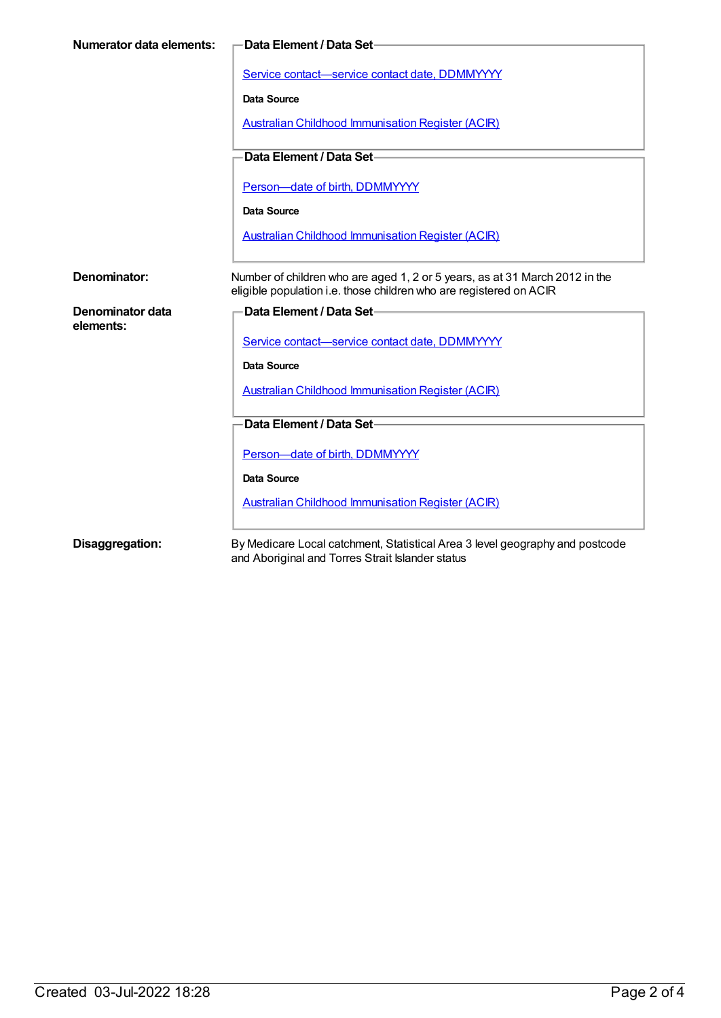| Numerator data elements: | Data Element / Data Set-                                                     |  |
|--------------------------|------------------------------------------------------------------------------|--|
|                          |                                                                              |  |
|                          | Service contact-service contact date, DDMMYYYY                               |  |
|                          | <b>Data Source</b>                                                           |  |
|                          | <b>Australian Childhood Immunisation Register (ACIR)</b>                     |  |
|                          | Data Element / Data Set-                                                     |  |
|                          |                                                                              |  |
|                          | Person-date of birth, DDMMYYYY                                               |  |
|                          | <b>Data Source</b>                                                           |  |
|                          | <b>Australian Childhood Immunisation Register (ACIR)</b>                     |  |
|                          |                                                                              |  |
| Denominator:             | Number of children who are aged 1, 2 or 5 years, as at 31 March 2012 in the  |  |
|                          | eligible population i.e. those children who are registered on ACIR           |  |
| Denominator data         | Data Element / Data Set-                                                     |  |
| elements:                | Service contact-service contact date, DDMMYYYY                               |  |
|                          |                                                                              |  |
|                          | <b>Data Source</b>                                                           |  |
|                          | <b>Australian Childhood Immunisation Register (ACIR)</b>                     |  |
|                          |                                                                              |  |
|                          |                                                                              |  |
|                          | Data Element / Data Set-                                                     |  |
|                          | Person-date of birth, DDMMYYYY                                               |  |
|                          | <b>Data Source</b>                                                           |  |
|                          |                                                                              |  |
|                          | <b>Australian Childhood Immunisation Register (ACIR)</b>                     |  |
| Disaggregation:          | By Medicare Local catchment, Statistical Area 3 level geography and postcode |  |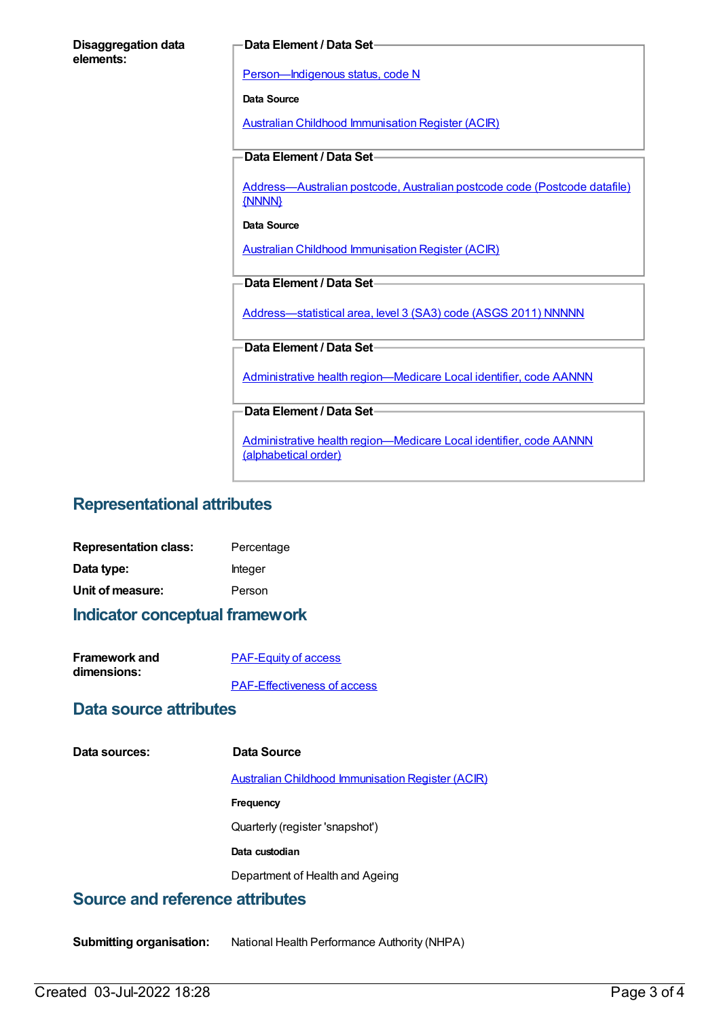| <b>Disaggregation data</b><br>elements: | -Data Element / Data Set                                                                   |
|-----------------------------------------|--------------------------------------------------------------------------------------------|
|                                         | Person-Indigenous status, code N                                                           |
|                                         | <b>Data Source</b>                                                                         |
|                                         | <b>Australian Childhood Immunisation Register (ACIR)</b>                                   |
|                                         | Data Element / Data Set-                                                                   |
|                                         | Address-Australian postcode, Australian postcode code (Postcode datafile)<br>{NNNN}        |
|                                         | Data Source                                                                                |
|                                         | <b>Australian Childhood Immunisation Register (ACIR)</b>                                   |
|                                         | Data Element / Data Set-                                                                   |
|                                         | Address-statistical area, level 3 (SA3) code (ASGS 2011) NNNNN                             |
|                                         | Data Element / Data Set-                                                                   |
|                                         | Administrative health region-Medicare Local identifier, code AANNN                         |
|                                         | Data Element / Data Set-                                                                   |
|                                         | Administrative health region-Medicare Local identifier, code AANNN<br>(alphabetical order) |

## **Representational attributes**

| <b>Representation class:</b> | Percentage |
|------------------------------|------------|
| Data type:                   | Integer    |
| Unit of measure:             | Person     |

#### **Indicator conceptual framework**

| <b>Framework and</b> | <b>PAF-Equity of access</b>        |
|----------------------|------------------------------------|
| dimensions:          |                                    |
|                      | <b>PAF-Effectiveness of access</b> |

#### **Data source attributes**

**Data sources: Data Source**

Australian Childhood [Immunisation](https://meteor.aihw.gov.au/content/394254) Register (ACIR)

**Frequency**

Quarterly (register 'snapshot')

**Data custodian**

Department of Health and Ageing

## **Source and reference attributes**

**Submitting organisation:** National Health Performance Authority (NHPA)